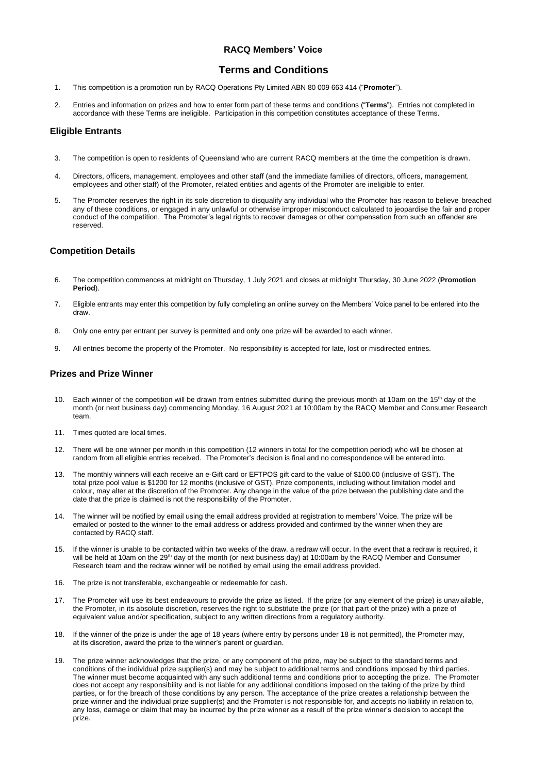## **RACQ Members' Voice**

# **Terms and Conditions**

- 1. This competition is a promotion run by RACQ Operations Pty Limited ABN 80 009 663 414 ("**Promoter**").
- 2. Entries and information on prizes and how to enter form part of these terms and conditions ("**Terms**"). Entries not completed in accordance with these Terms are ineligible. Participation in this competition constitutes acceptance of these Terms.

### **Eligible Entrants**

- 3. The competition is open to residents of Queensland who are current RACQ members at the time the competition is drawn.
- 4. Directors, officers, management, employees and other staff (and the immediate families of directors, officers, management, employees and other staff) of the Promoter, related entities and agents of the Promoter are ineligible to enter.
- 5. The Promoter reserves the right in its sole discretion to disqualify any individual who the Promoter has reason to believe breached any of these conditions, or engaged in any unlawful or otherwise improper misconduct calculated to jeopardise the fair and proper conduct of the competition. The Promoter's legal rights to recover damages or other compensation from such an offender are reserved.

### **Competition Details**

- 6. The competition commences at midnight on Thursday, 1 July 2021 and closes at midnight Thursday, 30 June 2022 (**Promotion Period**).
- 7. Eligible entrants may enter this competition by fully completing an online survey on the Members' Voice panel to be entered into the draw.
- 8. Only one entry per entrant per survey is permitted and only one prize will be awarded to each winner.
- 9. All entries become the property of the Promoter. No responsibility is accepted for late, lost or misdirected entries.

#### **Prizes and Prize Winner**

- 10. Each winner of the competition will be drawn from entries submitted during the previous month at 10am on the 15<sup>th</sup> day of the month (or next business day) commencing Monday, 16 August 2021 at 10:00am by the RACQ Member and Consumer Research team.
- 11. Times quoted are local times.
- 12. There will be one winner per month in this competition (12 winners in total for the competition period) who will be chosen at random from all eligible entries received. The Promoter's decision is final and no correspondence will be entered into.
- 13. The monthly winners will each receive an e-Gift card or EFTPOS gift card to the value of \$100.00 (inclusive of GST). The total prize pool value is \$1200 for 12 months (inclusive of GST). Prize components, including without limitation model and colour, may alter at the discretion of the Promoter. Any change in the value of the prize between the publishing date and the date that the prize is claimed is not the responsibility of the Promoter.
- 14. The winner will be notified by email using the email address provided at registration to members' Voice. The prize will be emailed or posted to the winner to the email address or address provided and confirmed by the winner when they are contacted by RACQ staff.
- 15. If the winner is unable to be contacted within two weeks of the draw, a redraw will occur. In the event that a redraw is required, it will be held at 10am on the 29<sup>th</sup> day of the month (or next business day) at 10:00am by the RACQ Member and Consumer Research team and the redraw winner will be notified by email using the email address provided.
- 16. The prize is not transferable, exchangeable or redeemable for cash.
- 
- 17. The Promoter will use its best endeavours to provide the prize as listed. If the prize (or any element of the prize) is unavailable, the Promoter, in its absolute discretion, reserves the right to substitute the prize (or that part of the prize) with a prize of equivalent value and/or specification, subject to any written directions from a regulatory authority.
- 18. If the winner of the prize is under the age of 18 years (where entry by persons under 18 is not permitted), the Promoter may, at its discretion, award the prize to the winner's parent or guardian.
- 19. The prize winner acknowledges that the prize, or any component of the prize, may be subject to the standard terms and conditions of the individual prize supplier(s) and may be subject to additional terms and conditions imposed by third parties. The winner must become acquainted with any such additional terms and conditions prior to accepting the prize. The Promoter does not accept any responsibility and is not liable for any additional conditions imposed on the taking of the prize by third parties, or for the breach of those conditions by any person. The acceptance of the prize creates a relationship between the prize winner and the individual prize supplier(s) and the Promoter is not responsible for, and accepts no liability in relation to, any loss, damage or claim that may be incurred by the prize winner as a result of the prize winner's decision to accept the prize.